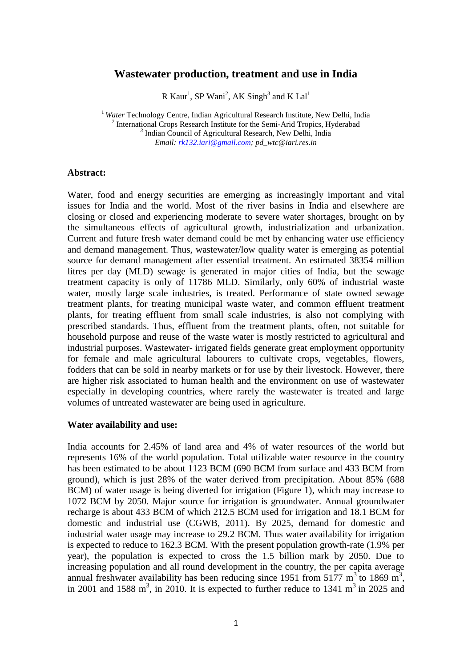# **Wastewater production, treatment and use in India**

R Kaur<sup>1</sup>, SP Wani<sup>2</sup>, AK Singh<sup>3</sup> and K Lal<sup>1</sup>

<sup>1</sup> Water Technology Centre, Indian Agricultural Research Institute, New Delhi, India <sup>2</sup> International Crops Research Institute for the Semi-Arid Tropics, Hyderabad <sup>3</sup> Indian Council of Agricultural Research, New Delhi, India *Email: [rk132.iari@gmail.com;](mailto:rk132.iari@gmail.com) pd\_wtc@iari.res.in*

#### **Abstract:**

Water, food and energy securities are emerging as increasingly important and vital issues for India and the world. Most of the river basins in India and elsewhere are closing or closed and experiencing moderate to severe water shortages, brought on by the simultaneous effects of agricultural growth, industrialization and urbanization. Current and future fresh water demand could be met by enhancing water use efficiency and demand management. Thus, wastewater/low quality water is emerging as potential source for demand management after essential treatment. An estimated 38354 million litres per day (MLD) sewage is generated in major cities of India, but the sewage treatment capacity is only of 11786 MLD. Similarly, only 60% of industrial waste water, mostly large scale industries, is treated. Performance of state owned sewage treatment plants, for treating municipal waste water, and common effluent treatment plants, for treating effluent from small scale industries, is also not complying with prescribed standards. Thus, effluent from the treatment plants, often, not suitable for household purpose and reuse of the waste water is mostly restricted to agricultural and industrial purposes. Wastewater- irrigated fields generate great employment opportunity for female and male agricultural labourers to cultivate crops, vegetables, flowers, fodders that can be sold in nearby markets or for use by their livestock. However, there are higher risk associated to human health and the environment on use of wastewater especially in developing countries, where rarely the wastewater is treated and large volumes of untreated wastewater are being used in agriculture.

#### **Water availability and use:**

India accounts for 2.45% of land area and 4% of water resources of the world but represents 16% of the world population. Total utilizable water resource in the country has been estimated to be about 1123 BCM (690 BCM from surface and 433 BCM from ground), which is just 28% of the water derived from precipitation. About 85% (688 BCM) of water usage is being diverted for irrigation (Figure 1), which may increase to 1072 BCM by 2050. Major source for irrigation is groundwater. Annual groundwater recharge is about 433 BCM of which 212.5 BCM used for irrigation and 18.1 BCM for domestic and industrial use (CGWB, 2011). By 2025, demand for domestic and industrial water usage may increase to 29.2 BCM. Thus water availability for irrigation is expected to reduce to 162.3 BCM. With the present population growth-rate (1.9% per year), the population is expected to cross the 1.5 billion mark by 2050. Due to increasing population and all round development in the country, the per capita average annual freshwater availability has been reducing since 1951 from 5177  $m^3$  to 1869  $m^3$ , in 2001 and 1588 m<sup>3</sup>, in 2010. It is expected to further reduce to 1341 m<sup>3</sup> in 2025 and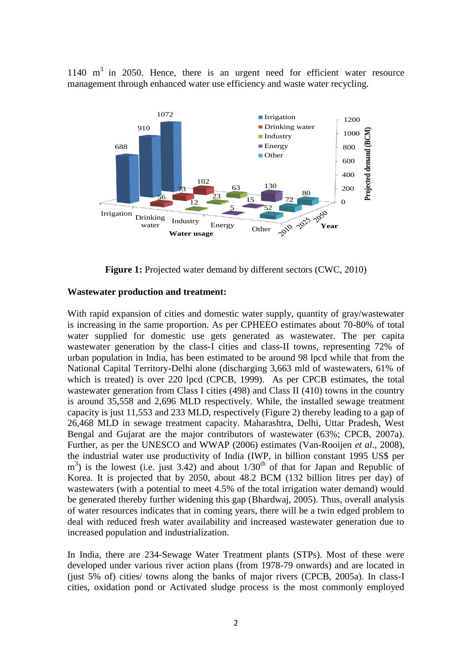$1140 \text{ m}^3$  in 2050. Hence, there is an urgent need for efficient water resource management through enhanced water use efficiency and waste water recycling.



**Figure 1:** Projected water demand by different sectors (CWC, 2010)

## **Wastewater production and treatment:**

With rapid expansion of cities and domestic water supply, quantity of gray/wastewater is increasing in the same proportion. As per CPHEEO estimates about 70-80% of total water supplied for domestic use gets generated as wastewater. The per capita wastewater generation by the class-I cities and class-II towns, representing 72% of urban population in India, has been estimated to be around 98 lpcd while that from the National Capital Territory-Delhi alone (discharging 3,663 mld of wastewaters, 61% of which is treated) is over 220 lpcd (CPCB, 1999). As per CPCB estimates, the total wastewater generation from Class I cities (498) and Class II (410) towns in the country is around 35,558 and 2,696 MLD respectively. While, the installed sewage treatment capacity is just 11,553 and 233 MLD, respectively (Figure 2) thereby leading to a gap of 26,468 MLD in sewage treatment capacity. Maharashtra, Delhi, Uttar Pradesh, West Bengal and Gujarat are the major contributors of wastewater (63%; CPCB, 2007a). Further, as per the UNESCO and WWAP (2006) estimates (Van-Rooijen *et al.*, 2008), the industrial water use productivity of India (IWP, in billion constant 1995 US\$ per  $m<sup>3</sup>$ ) is the lowest (i.e. just 3.42) and about  $1/30<sup>th</sup>$  of that for Japan and Republic of Korea. It is projected that by 2050, about 48.2 BCM (132 billion litres per day) of wastewaters (with a potential to meet 4.5% of the total irrigation water demand) would be generated thereby further widening this gap (Bhardwaj, 2005). Thus, overall analysis of water resources indicates that in coming years, there will be a twin edged problem to deal with reduced fresh water availability and increased wastewater generation due to increased population and industrialization.

In India, there are 234-Sewage Water Treatment plants (STPs). Most of these were developed under various river action plans (from 1978-79 onwards) and are located in (just 5% of) cities/ towns along the banks of major rivers (CPCB, 2005a). In class-I cities, oxidation pond or Activated sludge process is the most commonly employed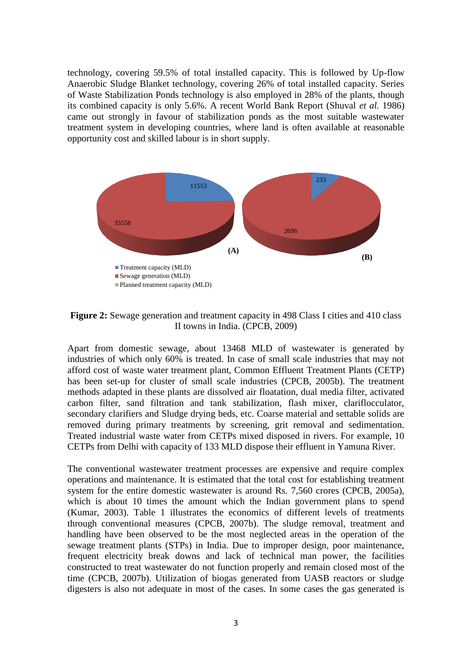technology, covering 59.5% of total installed capacity. This is followed by Up-flow Anaerobic Sludge Blanket technology, covering 26% of total installed capacity. Series of Waste Stabilization Ponds technology is also employed in 28% of the plants, though its combined capacity is only 5.6%. A recent World Bank Report (Shuval *et al.* 1986) came out strongly in favour of stabilization ponds as the most suitable wastewater treatment system in developing countries, where land is often available at reasonable opportunity cost and skilled labour is in short supply.



**Figure 2:** Sewage generation and treatment capacity in 498 Class I cities and 410 class II towns in India. (CPCB, 2009)

Apart from domestic sewage, about 13468 MLD of wastewater is generated by industries of which only 60% is treated. In case of small scale industries that may not afford cost of waste water treatment plant, Common Effluent Treatment Plants (CETP) has been set-up for cluster of small scale industries (CPCB, 2005b). The treatment methods adapted in these plants are dissolved air floatation, dual media filter, activated carbon filter, sand filtration and tank stabilization, flash mixer, clariflocculator, secondary clarifiers and Sludge drying beds, etc. Coarse material and settable solids are removed during primary treatments by screening, grit removal and sedimentation. Treated industrial waste water from CETPs mixed disposed in rivers. For example, 10 CETPs from Delhi with capacity of 133 MLD dispose their effluent in Yamuna River.

The conventional wastewater treatment processes are expensive and require complex operations and maintenance. It is estimated that the total cost for establishing treatment system for the entire domestic wastewater is around Rs. 7,560 crores (CPCB, 2005a), which is about 10 times the amount which the Indian government plans to spend (Kumar, 2003). Table 1 illustrates the economics of different levels of treatments through conventional measures (CPCB, 2007b). The sludge removal, treatment and handling have been observed to be the most neglected areas in the operation of the sewage treatment plants (STPs) in India. Due to improper design, poor maintenance, frequent electricity break downs and lack of technical man power, the facilities constructed to treat wastewater do not function properly and remain closed most of the time (CPCB, 2007b). Utilization of biogas generated from UASB reactors or sludge digesters is also not adequate in most of the cases. In some cases the gas generated is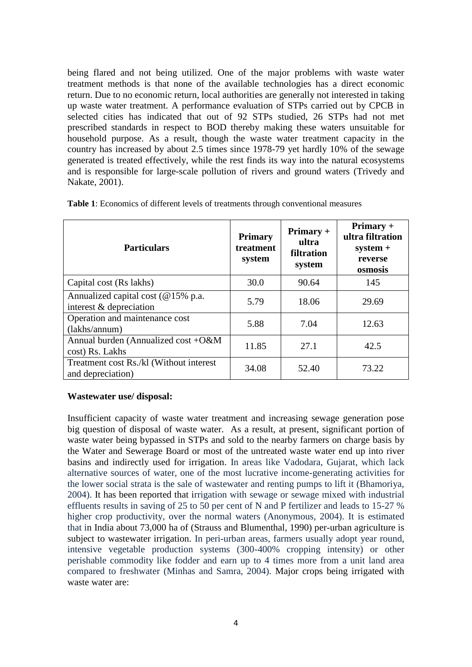being flared and not being utilized. One of the major problems with waste water treatment methods is that none of the available technologies has a direct economic return. Due to no economic return, local authorities are generally not interested in taking up waste water treatment. A performance evaluation of STPs carried out by CPCB in selected cities has indicated that out of 92 STPs studied, 26 STPs had not met prescribed standards in respect to BOD thereby making these waters unsuitable for household purpose. As a result, though the waste water treatment capacity in the country has increased by about 2.5 times since 1978-79 yet hardly 10% of the sewage generated is treated effectively, while the rest finds its way into the natural ecosystems and is responsible for large-scale pollution of rivers and ground waters (Trivedy and Nakate, 2001).

| <b>Particulars</b>                                            | <b>Primary</b><br>treatment<br>system | $Primary +$<br>ultra<br>filtration<br>system | $Primary +$<br>ultra filtration<br>$system +$<br>reverse<br>osmosis |
|---------------------------------------------------------------|---------------------------------------|----------------------------------------------|---------------------------------------------------------------------|
| Capital cost (Rs lakhs)                                       | 30.0                                  | 90.64                                        | 145                                                                 |
| Annualized capital cost (@15% p.a.<br>interest & depreciation | 5.79                                  | 18.06                                        | 29.69                                                               |
| Operation and maintenance cost<br>(lakhs/annum)               | 5.88                                  | 7.04                                         | 12.63                                                               |
| Annual burden (Annualized cost +O&M<br>cost) Rs. Lakhs        | 11.85                                 | 27.1                                         | 42.5                                                                |
| Treatment cost Rs./kl (Without interest)<br>and depreciation) | 34.08                                 | 52.40                                        | 73.22                                                               |

**Table 1**: Economics of different levels of treatments through conventional measures

# **Wastewater use/ disposal:**

Insufficient capacity of waste water treatment and increasing sewage generation pose big question of disposal of waste water. As a result, at present, significant portion of waste water being bypassed in STPs and sold to the nearby farmers on charge basis by the Water and Sewerage Board or most of the untreated waste water end up into river basins and indirectly used for irrigation. In areas like Vadodara, Gujarat, which lack alternative sources of water, one of the most lucrative income-generating activities for the lower social strata is the sale of wastewater and renting pumps to lift it (Bhamoriya, 2004). It has been reported that irrigation with sewage or sewage mixed with industrial effluents results in saving of 25 to 50 per cent of N and P fertilizer and leads to 15-27 % higher crop productivity, over the normal waters (Anonymous, 2004). It is estimated that in India about 73,000 ha of (Strauss and Blumenthal, 1990) per-urban agriculture is subject to wastewater irrigation. In peri-urban areas, farmers usually adopt year round, intensive vegetable production systems (300-400% cropping intensity) or other perishable commodity like fodder and earn up to 4 times more from a unit land area compared to freshwater (Minhas and Samra, 2004). Major crops being irrigated with waste water are: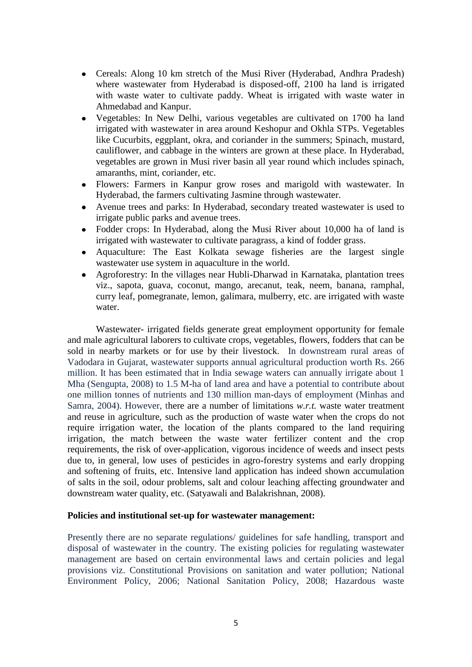- Cereals: Along 10 km stretch of the Musi River (Hyderabad, Andhra Pradesh) where wastewater from Hyderabad is disposed-off, 2100 ha land is irrigated with waste water to cultivate paddy. Wheat is irrigated with waste water in Ahmedabad and Kanpur.
- Vegetables: In New Delhi, various vegetables are cultivated on 1700 ha land irrigated with wastewater in area around Keshopur and Okhla STPs. Vegetables like Cucurbits, eggplant, okra, and coriander in the summers; Spinach, mustard, cauliflower, and cabbage in the winters are grown at these place. In Hyderabad, vegetables are grown in Musi river basin all year round which includes spinach, amaranths, mint, coriander, etc.
- Flowers: Farmers in Kanpur grow roses and marigold with wastewater. In Hyderabad, the farmers cultivating Jasmine through wastewater.
- Avenue trees and parks: In Hyderabad, secondary treated wastewater is used to irrigate public parks and avenue trees.
- Fodder crops: In Hyderabad, along the Musi River about 10,000 ha of land is irrigated with wastewater to cultivate paragrass, a kind of fodder grass.
- Aquaculture: The East Kolkata sewage fisheries are the largest single wastewater use system in aquaculture in the world.
- Agroforestry: In the villages near Hubli-Dharwad in Karnataka, plantation trees viz., sapota, guava, coconut, mango, arecanut, teak, neem, banana, ramphal, curry leaf, pomegranate, lemon, galimara, mulberry, etc. are irrigated with waste water.

Wastewater- irrigated fields generate great employment opportunity for female and male agricultural laborers to cultivate crops, vegetables, flowers, fodders that can be sold in nearby markets or for use by their livestock. In downstream rural areas of Vadodara in Gujarat, wastewater supports annual agricultural production worth Rs. 266 million. It has been estimated that in India sewage waters can annually irrigate about 1 Mha (Sengupta, 2008) to 1.5 M-ha of land area and have a potential to contribute about one million tonnes of nutrients and 130 million man-days of employment (Minhas and Samra, 2004). However, there are a number of limitations *w.r.t.* waste water treatment and reuse in agriculture, such as the production of waste water when the crops do not require irrigation water, the location of the plants compared to the land requiring irrigation, the match between the waste water fertilizer content and the crop requirements, the risk of over-application, vigorous incidence of weeds and insect pests due to, in general, low uses of pesticides in agro-forestry systems and early dropping and softening of fruits, etc. Intensive land application has indeed shown accumulation of salts in the soil, odour problems, salt and colour leaching affecting groundwater and downstream water quality, etc. (Satyawali and Balakrishnan, 2008).

# **Policies and institutional set-up for wastewater management:**

Presently there are no separate regulations/ guidelines for safe handling, transport and disposal of wastewater in the country. The existing policies for regulating wastewater management are based on certain environmental laws and certain policies and legal provisions viz. Constitutional Provisions on sanitation and water pollution; National Environment Policy, 2006; National Sanitation Policy, 2008; Hazardous waste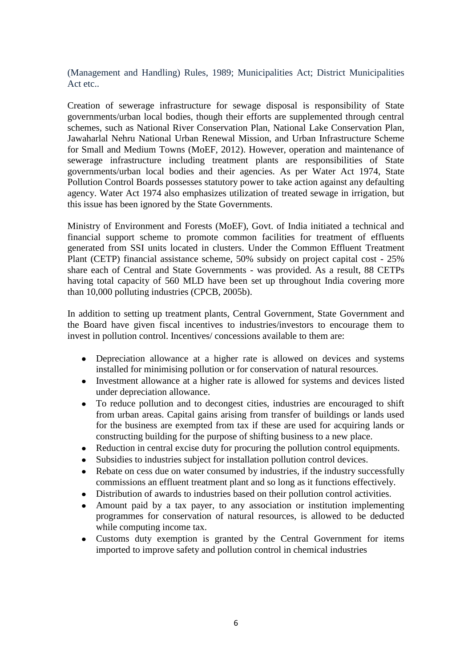(Management and Handling) Rules, 1989; Municipalities Act; District Municipalities Act etc..

Creation of sewerage infrastructure for sewage disposal is responsibility of State governments/urban local bodies, though their efforts are supplemented through central schemes, such as National River Conservation Plan, National Lake Conservation Plan, Jawaharlal Nehru National Urban Renewal Mission, and Urban Infrastructure Scheme for Small and Medium Towns (MoEF, 2012). However, operation and maintenance of sewerage infrastructure including treatment plants are responsibilities of State governments/urban local bodies and their agencies. As per Water Act 1974, State Pollution Control Boards possesses statutory power to take action against any defaulting agency. Water Act 1974 also emphasizes utilization of treated sewage in irrigation, but this issue has been ignored by the State Governments.

Ministry of Environment and Forests (MoEF), Govt. of India initiated a technical and financial support scheme to promote common facilities for treatment of effluents generated from SSI units located in clusters. Under the Common Effluent Treatment Plant (CETP) financial assistance scheme, 50% subsidy on project capital cost - 25% share each of Central and State Governments - was provided. As a result, 88 CETPs having total capacity of 560 MLD have been set up throughout India covering more than 10,000 polluting industries (CPCB, 2005b).

In addition to setting up treatment plants, Central Government, State Government and the Board have given fiscal incentives to industries/investors to encourage them to invest in pollution control. Incentives/ concessions available to them are:

- Depreciation allowance at a higher rate is allowed on devices and systems installed for minimising pollution or for conservation of natural resources.
- Investment allowance at a higher rate is allowed for systems and devices listed under depreciation allowance.
- To reduce pollution and to decongest cities, industries are encouraged to shift from urban areas. Capital gains arising from transfer of buildings or lands used for the business are exempted from tax if these are used for acquiring lands or constructing building for the purpose of shifting business to a new place.
- Reduction in central excise duty for procuring the pollution control equipments.
- Subsidies to industries subject for installation pollution control devices.
- Rebate on cess due on water consumed by industries, if the industry successfully commissions an effluent treatment plant and so long as it functions effectively.
- Distribution of awards to industries based on their pollution control activities.  $\bullet$
- Amount paid by a tax payer, to any association or institution implementing programmes for conservation of natural resources, is allowed to be deducted while computing income tax.
- Customs duty exemption is granted by the Central Government for items imported to improve safety and pollution control in chemical industries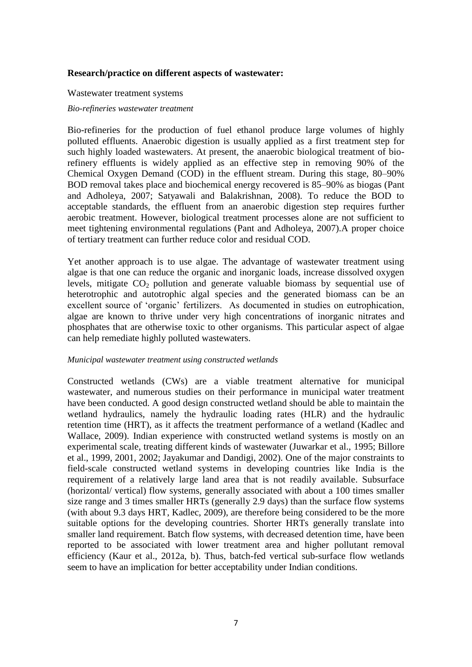### **Research/practice on different aspects of wastewater:**

#### Wastewater treatment systems

#### *Bio-refineries wastewater treatment*

Bio-refineries for the production of fuel ethanol produce large volumes of highly polluted effluents. Anaerobic digestion is usually applied as a first treatment step for such highly loaded wastewaters. At present, the anaerobic biological treatment of biorefinery effluents is widely applied as an effective step in removing 90% of the Chemical Oxygen Demand (COD) in the effluent stream. During this stage, 80–90% BOD removal takes place and biochemical energy recovered is 85–90% as biogas (Pant and Adholeya, 2007; Satyawali and Balakrishnan, 2008). To reduce the BOD to acceptable standards, the effluent from an anaerobic digestion step requires further aerobic treatment. However, biological treatment processes alone are not sufficient to meet tightening environmental regulations (Pant and Adholeya, 2007).A proper choice of tertiary treatment can further reduce color and residual COD.

Yet another approach is to use algae. The advantage of wastewater treatment using algae is that one can reduce the organic and inorganic loads, increase dissolved oxygen levels, mitigate  $CO<sub>2</sub>$  pollution and generate valuable biomass by sequential use of heterotrophic and autotrophic algal species and the generated biomass can be an excellent source of 'organic' fertilizers. As documented in studies on eutrophication, algae are known to thrive under very high concentrations of inorganic nitrates and phosphates that are otherwise toxic to other organisms. This particular aspect of algae can help remediate highly polluted wastewaters.

#### *Municipal wastewater treatment using constructed wetlands*

Constructed wetlands (CWs) are a viable treatment alternative for municipal wastewater, and numerous studies on their performance in municipal water treatment have been conducted. A good design constructed wetland should be able to maintain the wetland hydraulics, namely the hydraulic loading rates (HLR) and the hydraulic retention time (HRT), as it affects the treatment performance of a wetland (Kadlec and Wallace, 2009). Indian experience with constructed wetland systems is mostly on an experimental scale, treating different kinds of wastewater (Juwarkar et al., 1995; Billore et al., 1999, 2001, 2002; Jayakumar and Dandigi, 2002). One of the major constraints to field-scale constructed wetland systems in developing countries like India is the requirement of a relatively large land area that is not readily available. Subsurface (horizontal/ vertical) flow systems, generally associated with about a 100 times smaller size range and 3 times smaller HRTs (generally 2.9 days) than the surface flow systems (with about 9.3 days HRT, Kadlec, 2009), are therefore being considered to be the more suitable options for the developing countries. Shorter HRTs generally translate into smaller land requirement. Batch flow systems, with decreased detention time, have been reported to be associated with lower treatment area and higher pollutant removal efficiency (Kaur et al., 2012a, b). Thus, batch-fed vertical sub-surface flow wetlands seem to have an implication for better acceptability under Indian conditions.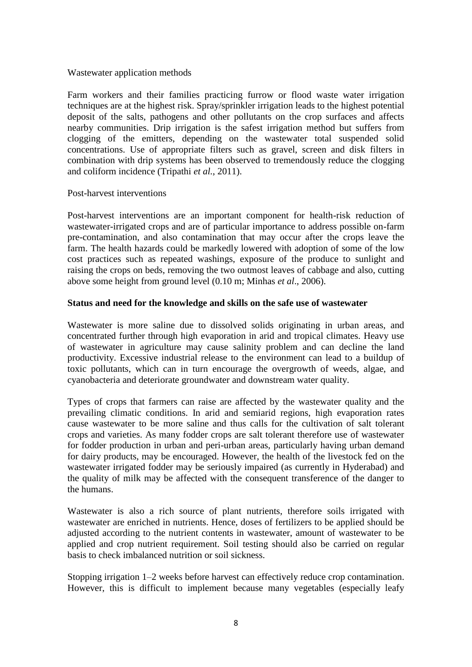# Wastewater application methods

Farm workers and their families practicing furrow or flood waste water irrigation techniques are at the highest risk. Spray/sprinkler irrigation leads to the highest potential deposit of the salts, pathogens and other pollutants on the crop surfaces and affects nearby communities. Drip irrigation is the safest irrigation method but suffers from clogging of the emitters, depending on the wastewater total suspended solid concentrations. Use of appropriate filters such as gravel, screen and disk filters in combination with drip systems has been observed to tremendously reduce the clogging and coliform incidence (Tripathi *et al.*, 2011).

## Post-harvest interventions

Post-harvest interventions are an important component for health-risk reduction of wastewater-irrigated crops and are of particular importance to address possible on-farm pre-contamination, and also contamination that may occur after the crops leave the farm. The health hazards could be markedly lowered with adoption of some of the low cost practices such as repeated washings, exposure of the produce to sunlight and raising the crops on beds, removing the two outmost leaves of cabbage and also, cutting above some height from ground level (0.10 m; Minhas *et al*., 2006).

## **Status and need for the knowledge and skills on the safe use of wastewater**

Wastewater is more saline due to dissolved solids originating in urban areas, and concentrated further through high evaporation in arid and tropical climates. Heavy use of wastewater in agriculture may cause salinity problem and can decline the land productivity. Excessive industrial release to the environment can lead to a buildup of toxic pollutants, which can in turn encourage the overgrowth of weeds, algae, and cyanobacteria and deteriorate groundwater and downstream water quality.

Types of crops that farmers can raise are affected by the wastewater quality and the prevailing climatic conditions. In arid and semiarid regions, high evaporation rates cause wastewater to be more saline and thus calls for the cultivation of salt tolerant crops and varieties. As many fodder crops are salt tolerant therefore use of wastewater for fodder production in urban and peri-urban areas, particularly having urban demand for dairy products, may be encouraged. However, the health of the livestock fed on the wastewater irrigated fodder may be seriously impaired (as currently in Hyderabad) and the quality of milk may be affected with the consequent transference of the danger to the humans.

Wastewater is also a rich source of plant nutrients, therefore soils irrigated with wastewater are enriched in nutrients. Hence, doses of fertilizers to be applied should be adjusted according to the nutrient contents in wastewater, amount of wastewater to be applied and crop nutrient requirement. Soil testing should also be carried on regular basis to check imbalanced nutrition or soil sickness.

Stopping irrigation 1–2 weeks before harvest can effectively reduce crop contamination. However, this is difficult to implement because many vegetables (especially leafy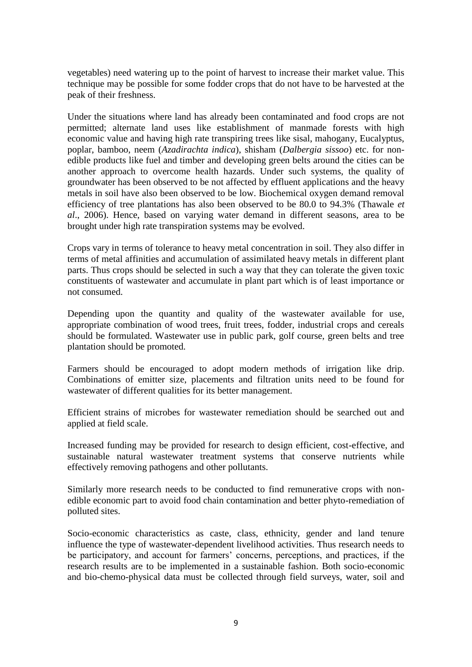vegetables) need watering up to the point of harvest to increase their market value. This technique may be possible for some fodder crops that do not have to be harvested at the peak of their freshness.

Under the situations where land has already been contaminated and food crops are not permitted; alternate land uses like establishment of manmade forests with high economic value and having high rate transpiring trees like sisal, mahogany, Eucalyptus, poplar, bamboo, neem (*Azadirachta indica*), shisham (*Dalbergia sissoo*) etc. for nonedible products like fuel and timber and developing green belts around the cities can be another approach to overcome health hazards. Under such systems, the quality of groundwater has been observed to be not affected by effluent applications and the heavy metals in soil have also been observed to be low. Biochemical oxygen demand removal efficiency of tree plantations has also been observed to be 80.0 to 94.3% (Thawale *et al*., 2006). Hence, based on varying water demand in different seasons, area to be brought under high rate transpiration systems may be evolved.

Crops vary in terms of tolerance to heavy metal concentration in soil. They also differ in terms of metal affinities and accumulation of assimilated heavy metals in different plant parts. Thus crops should be selected in such a way that they can tolerate the given toxic constituents of wastewater and accumulate in plant part which is of least importance or not consumed.

Depending upon the quantity and quality of the wastewater available for use, appropriate combination of wood trees, fruit trees, fodder, industrial crops and cereals should be formulated. Wastewater use in public park, golf course, green belts and tree plantation should be promoted.

Farmers should be encouraged to adopt modern methods of irrigation like drip. Combinations of emitter size, placements and filtration units need to be found for wastewater of different qualities for its better management.

Efficient strains of microbes for wastewater remediation should be searched out and applied at field scale.

Increased funding may be provided for research to design efficient, cost-effective, and sustainable natural wastewater treatment systems that conserve nutrients while effectively removing pathogens and other pollutants.

Similarly more research needs to be conducted to find remunerative crops with nonedible economic part to avoid food chain contamination and better phyto-remediation of polluted sites.

Socio-economic characteristics as caste, class, ethnicity, gender and land tenure influence the type of wastewater-dependent livelihood activities. Thus research needs to be participatory, and account for farmers' concerns, perceptions, and practices, if the research results are to be implemented in a sustainable fashion. Both socio-economic and bio-chemo-physical data must be collected through field surveys, water, soil and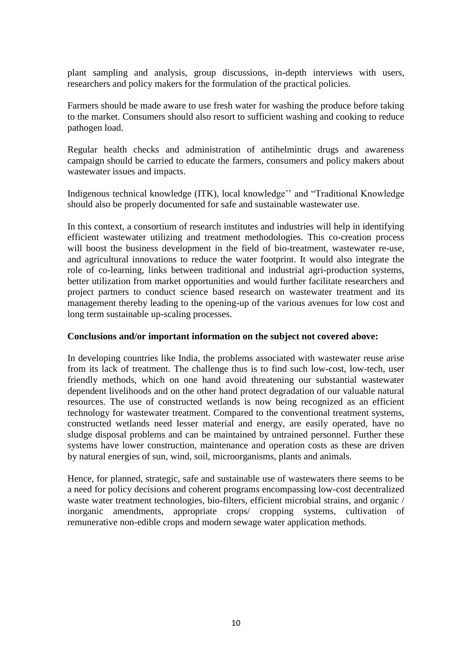plant sampling and analysis, group discussions, in-depth interviews with users, researchers and policy makers for the formulation of the practical policies.

Farmers should be made aware to use fresh water for washing the produce before taking to the market. Consumers should also resort to sufficient washing and cooking to reduce pathogen load.

Regular health checks and administration of antihelmintic drugs and awareness campaign should be carried to educate the farmers, consumers and policy makers about wastewater issues and impacts.

Indigenous technical knowledge (ITK), local knowledge'' and "Traditional Knowledge should also be properly documented for safe and sustainable wastewater use.

In this context, a consortium of research institutes and industries will help in identifying efficient wastewater utilizing and treatment methodologies. This co-creation process will boost the business development in the field of bio-treatment, wastewater re-use, and agricultural innovations to reduce the water footprint. It would also integrate the role of co-learning, links between traditional and industrial agri-production systems, better utilization from market opportunities and would further facilitate researchers and project partners to conduct science based research on wastewater treatment and its management thereby leading to the opening-up of the various avenues for low cost and long term sustainable up-scaling processes.

# **Conclusions and/or important information on the subject not covered above:**

In developing countries like India, the problems associated with wastewater reuse arise from its lack of treatment. The challenge thus is to find such low-cost, low-tech, user friendly methods, which on one hand avoid threatening our substantial wastewater dependent livelihoods and on the other hand protect degradation of our valuable natural resources. The use of constructed wetlands is now being recognized as an efficient technology for wastewater treatment. Compared to the conventional treatment systems, constructed wetlands need lesser material and energy, are easily operated, have no sludge disposal problems and can be maintained by untrained personnel. Further these systems have lower construction, maintenance and operation costs as these are driven by natural energies of sun, wind, soil, microorganisms, plants and animals.

Hence, for planned, strategic, safe and sustainable use of wastewaters there seems to be a need for policy decisions and coherent programs encompassing low-cost decentralized waste water treatment technologies, bio-filters, efficient microbial strains, and organic / inorganic amendments, appropriate crops/ cropping systems, cultivation of remunerative non-edible crops and modern sewage water application methods.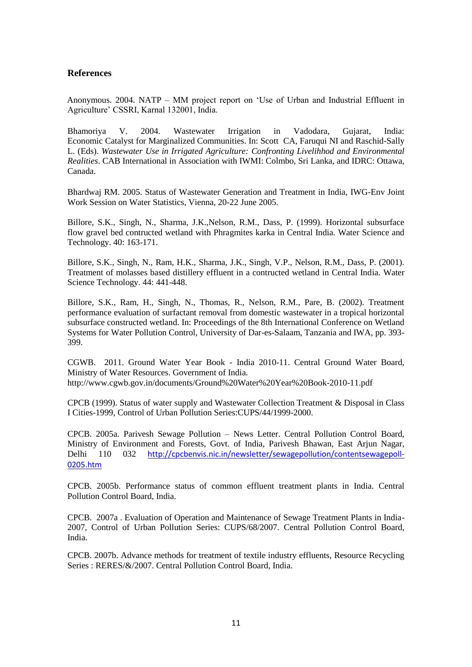## **References**

Anonymous. 2004. NATP – MM project report on 'Use of Urban and Industrial Effluent in Agriculture' CSSRI, Karnal 132001, India.

Bhamoriya V. 2004. Wastewater Irrigation in Vadodara, Gujarat, India: Economic Catalyst for Marginalized Communities. In: Scott CA, Faruqui NI and Raschid-Sally L. (Eds). *Wastewater Use in Irrigated Agriculture: Confronting Livelihhod and Environmental Realities*. CAB International in Association with IWMI: Colmbo, Sri Lanka, and IDRC: Ottawa, Canada.

Bhardwaj RM. 2005. Status of Wastewater Generation and Treatment in India, IWG-Env Joint Work Session on Water Statistics, Vienna, 20-22 June 2005.

Billore, S.K., Singh, N., Sharma, J.K.,Nelson, R.M., Dass, P. (1999). Horizontal subsurface flow gravel bed contructed wetland with Phragmites karka in Central India. Water Science and Technology. 40: 163-171.

Billore, S.K., Singh, N., Ram, H.K., Sharma, J.K., Singh, V.P., Nelson, R.M., Dass, P. (2001). Treatment of molasses based distillery effluent in a contructed wetland in Central India. Water Science Technology. 44: 441-448.

Billore, S.K., Ram, H., Singh, N., Thomas, R., Nelson, R.M., Pare, B. (2002). Treatment performance evaluation of surfactant removal from domestic wastewater in a tropical horizontal subsurface constructed wetland. In: Proceedings of the 8th International Conference on Wetland Systems for Water Pollution Control, University of Dar-es-Salaam, Tanzania and IWA, pp. 393- 399.

CGWB. 2011. Ground Water Year Book - India 2010-11. Central Ground Water Board, Ministry of Water Resources. Government of India. <http://www.cgwb.gov.in/documents/Ground%20Water%20Year%20Book-2010-11.pdf>

CPCB (1999). Status of water supply and Wastewater Collection Treatment & Disposal in Class I Cities-1999, Control of Urban Pollution Series:CUPS/44/1999-2000.

CPCB. 2005a. Parivesh Sewage Pollution – News Letter. Central Pollution Control Board, Ministry of Environment and Forests, Govt. of India, Parivesh Bhawan, East Arjun Nagar, Delhi 110 032 [http://cpcbenvis.nic.in/newsletter/sewagepollution/contentsewagepoll-](http://cpcbenvis.nic.in/newsletter/sewagepollution/contentsewagepoll-0205.htm)[0205.htm](http://cpcbenvis.nic.in/newsletter/sewagepollution/contentsewagepoll-0205.htm)

CPCB. 2005b. Performance status of common effluent treatment plants in India. Central Pollution Control Board, India.

CPCB. 2007a . Evaluation of Operation and Maintenance of Sewage Treatment Plants in India-2007, Control of Urban Pollution Series: CUPS/68/2007. Central Pollution Control Board, India.

CPCB. 2007b. Advance methods for treatment of textile industry effluents, Resource Recycling Series : RERES/&/2007. Central Pollution Control Board, India.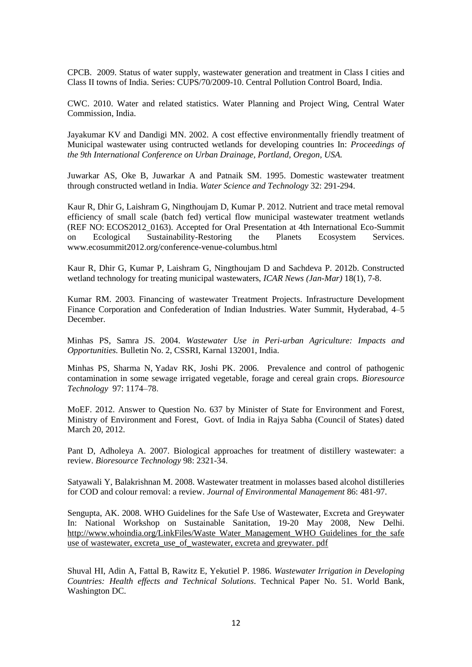CPCB. 2009. Status of water supply, wastewater generation and treatment in Class I cities and Class II towns of India. Series: CUPS/70/2009-10. Central Pollution Control Board, India.

CWC. 2010. Water and related statistics. Water Planning and Project Wing, Central Water Commission, India.

Jayakumar KV and Dandigi MN. 2002. A cost effective environmentally friendly treatment of Municipal wastewater using contructed wetlands for developing countries In: *Proceedings of the 9th International Conference on Urban Drainage, Portland, Oregon, USA.*

Juwarkar AS, Oke B, Juwarkar A and Patnaik SM. 1995. Domestic wastewater treatment through constructed wetland in India. *Water Science and Technology* 32: 291-294.

Kaur R, Dhir G, Laishram G, Ningthoujam D, Kumar P. 2012. Nutrient and trace metal removal efficiency of small scale (batch fed) vertical flow municipal wastewater treatment wetlands (REF NO: ECOS2012\_0163). Accepted for Oral Presentation at 4th International Eco-Summit on Ecological Sustainability-Restoring the Planets Ecosystem Services. www.ecosummit2012.org/conference-venue-columbus.html

Kaur R, Dhir G, Kumar P, Laishram G, Ningthoujam D and Sachdeva P. 2012b. Constructed wetland technology for treating municipal wastewaters, *ICAR News (Jan-Mar)* 18(1), 7-8.

Kumar RM. 2003. Financing of wastewater Treatment Projects. Infrastructure Development Finance Corporation and Confederation of Indian Industries. Water Summit, Hyderabad, 4–5 December.

Minhas PS, Samra JS. 2004. *Wastewater Use in Peri-urban Agriculture: Impacts and Opportunities.* Bulletin No. 2, CSSRI, Karnal 132001, India.

Minhas PS, Sharma N, Yadav RK, Joshi PK. 2006. Prevalence and control of pathogenic contamination in some sewage irrigated vegetable, forage and cereal grain crops. *[Bioresource](http://www.sciencedirect.com/science/journal/09608524) [Technology](http://www.sciencedirect.com/science/journal/09608524)* [97:](http://www.sciencedirect.com/science/journal/09608524/97/10) 1174–78.

MoEF. 2012. Answer to Question No. 637 by Minister of State for Environment and Forest, Ministry of Environment and Forest, Govt. of India in Rajya Sabha (Council of States) dated March 20, 2012.

Pant D, Adholeya A. 2007. Biological approaches for treatment of distillery wastewater: a review. *Bioresource Technology* 98: 2321-34.

Satyawali Y, Balakrishnan M. 2008. Wastewater treatment in molasses based alcohol distilleries for COD and colour removal: a review. *Journal of Environmental Management* 86: 481-97.

Sengupta, AK. 2008. WHO Guidelines for the Safe Use of Wastewater, Excreta and Greywater In: National Workshop on Sustainable Sanitation, 19-20 May 2008, New Delhi. http://www.whoindia.org/LinkFiles/Waste Water\_Management\_WHO Guidelines for the safe [use of wastewater, excreta\\_use\\_of\\_wastewater, excreta and greywater. pdf](http://www.whoindia.org/LinkFiles/Waste%20Water_Management_WHO%20Guidelines%20for_the%20safe%20use%20of%20wastewater,%20excreta_use_of_wastewater,%20excreta%20and%20greywater.%20pdf)

Shuval HI, Adin A, Fattal B, Rawitz E, Yekutiel P. 1986. *Wastewater Irrigation in Developing Countries: Health effects and Technical Solutions*. Technical Paper No. 51. World Bank, Washington DC.